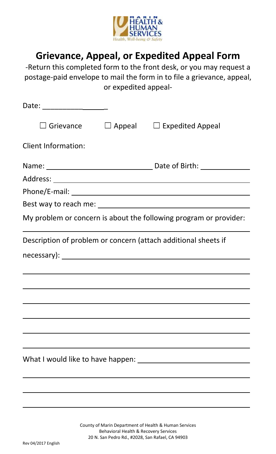

# Grievance, Appeal, or Expedited Appeal Form

‐Return this completed form to the front desk, or you may request a postage‐paid envelope to mail the form in to file a grievance, appeal, or expedited appeal‐

| Date: _______________________ |                                                                   |
|-------------------------------|-------------------------------------------------------------------|
|                               | $\Box$ Grievance $\Box$ Appeal $\Box$ Expedited Appeal            |
| <b>Client Information:</b>    |                                                                   |
|                               |                                                                   |
|                               |                                                                   |
|                               |                                                                   |
|                               |                                                                   |
|                               | My problem or concern is about the following program or provider: |
|                               | Description of problem or concern (attach additional sheets if    |
|                               |                                                                   |
|                               |                                                                   |
|                               |                                                                   |
|                               |                                                                   |
|                               |                                                                   |
|                               |                                                                   |
|                               |                                                                   |
|                               |                                                                   |
|                               |                                                                   |
|                               |                                                                   |

County of Marin Department of Health & Human Services Behavioral Health & Recovery Services 20 N. San Pedro Rd., #2028, San Rafael, CA 94903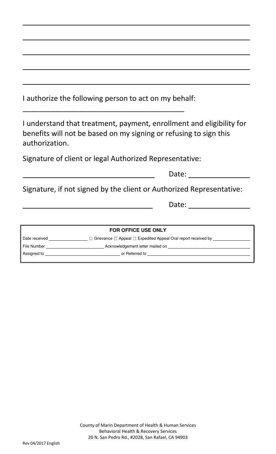| I authorize the following person to act on my behalf:                                                                                                       |  |  |
|-------------------------------------------------------------------------------------------------------------------------------------------------------------|--|--|
| I understand that treatment, payment, enrollment and eligibility for<br>benefits will not be based on my signing or refusing to sign this<br>authorization. |  |  |
| Signature of client or legal Authorized Representative:                                                                                                     |  |  |
| Date: <u>_____</u>                                                                                                                                          |  |  |
| Signature, if not signed by the client or Authorized Representative:                                                                                        |  |  |
|                                                                                                                                                             |  |  |
|                                                                                                                                                             |  |  |
| FOR OFFICE USE ONLY                                                                                                                                         |  |  |
| Date received _________________ □ Grievance □ Appeal □ Expedited Appeal Oral report received by _____________                                               |  |  |
|                                                                                                                                                             |  |  |
|                                                                                                                                                             |  |  |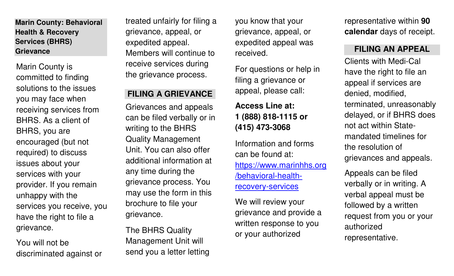**Marin County: Behavioral Health & Recovery Services (BHRS)** 

Marin County is committed to finding solutions to the issues you may face when receiving services from BHRS. As a client of BHRS, you are encouraged (but not required) to discuss issues about your services with your provider. If you remain unhappy with the services you receive, you have the right to file a grievance.

You will not be discriminated against or

treated unfairly for filing a grievance, appeal, or expedited appeal. Members will continue to **Grievance FILING AN APPEAL**receive services during the grievance process.

### **FILING A GRIEVANCE**

Grievances and appeals can be filed verbally or in writing to the BHRS Quality Management Unit. You can also offer additional information at any time during the grievance process. You may use the form in this brochure to file your grievance.

The BHRS Quality Management Unit will send you a letter letting you know that your grievance, appeal, or expedited appeal was received.

For questions or help in filing a grievance or appeal, please call:

## **Access Line at: 1 (888) 818-1115 or (415) 473-3068**

Information and forms can be found at: https://www.marinhhs.org/behavioral-healthrecovery-services

We will review your grievance and provide a written response to you or your authorized

representative within **90 calendar** days of receipt.

Clients with Medi-Cal have the right to file an appeal if services are denied, modified, terminated, unreasonably delayed, or if BHRS does not act within Statemandated timelines for the resolution of grievances and appeals.

Appeals can be filed verbally or in writing. A verbal appeal must be followed by a written request from you or your authorized representative.